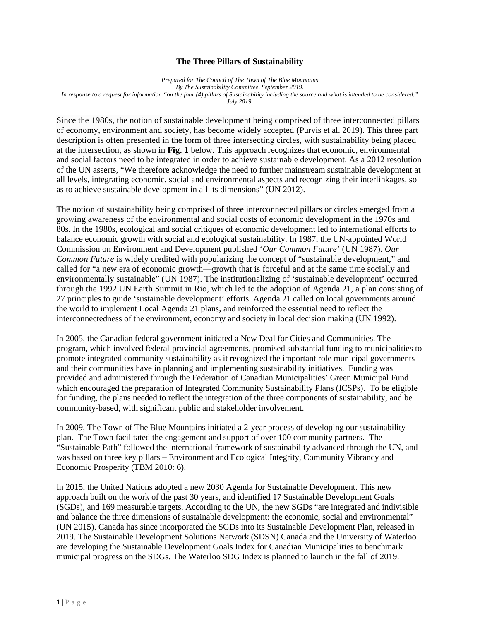## **The Three Pillars of Sustainability**

*Prepared for The Council of The Town of The Blue Mountains By The Sustainability Committee, September 2019. In response to a request for information "on the four (4) pillars of Sustainability including the source and what is intended to be considered." July 2019.*

Since the 1980s, the notion of sustainable development being comprised of three interconnected pillars of economy, environment and society, has become widely accepted (Purvis et al. 2019). This three part description is often presented in the form of three intersecting circles, with sustainability being placed at the intersection, as shown in **Fig. 1** below. This approach recognizes that economic, environmental and social factors need to be integrated in order to achieve sustainable development. As a 2012 resolution of the UN asserts, "We therefore acknowledge the need to further mainstream sustainable development at all levels, integrating economic, social and environmental aspects and recognizing their interlinkages, so as to achieve sustainable development in all its dimensions" (UN 2012).

The notion of sustainability being comprised of three interconnected pillars or circles emerged from a growing awareness of the environmental and social costs of economic development in the 1970s and 80s. In the 1980s, ecological and social critiques of economic development led to international efforts to balance economic growth with social and ecological sustainability. In 1987, the UN-appointed World Commission on Environment and Development published '*Our Common Future*' (UN 1987). *Our Common Future* is widely credited with popularizing the concept of "sustainable development," and called for "a new era of economic growth—growth that is forceful and at the same time socially and environmentally sustainable" (UN 1987). The institutionalizing of 'sustainable development' occurred through the 1992 UN Earth Summit in Rio, which led to the adoption of Agenda 21, a plan consisting of 27 principles to guide 'sustainable development' efforts. Agenda 21 called on local governments around the world to implement Local Agenda 21 plans, and reinforced the essential need to reflect the interconnectedness of the environment, economy and society in local decision making (UN 1992).

In 2005, the Canadian federal government initiated a New Deal for Cities and Communities. The program, which involved federal-provincial agreements, promised substantial funding to municipalities to promote integrated community sustainability as it recognized the important role municipal governments and their communities have in planning and implementing sustainability initiatives. Funding was provided and administered through the Federation of Canadian Municipalities' Green Municipal Fund which encouraged the preparation of Integrated Community Sustainability Plans (ICSPs). To be eligible for funding, the plans needed to reflect the integration of the three components of sustainability, and be community-based, with significant public and stakeholder involvement.

In 2009, The Town of The Blue Mountains initiated a 2-year process of developing our sustainability plan. The Town facilitated the engagement and support of over 100 community partners. The "Sustainable Path" followed the international framework of sustainability advanced through the UN, and was based on three key pillars – Environment and Ecological Integrity, Community Vibrancy and Economic Prosperity (TBM 2010: 6).

In 2015, the United Nations adopted a new 2030 Agenda for Sustainable Development. This new approach built on the work of the past 30 years, and identified 17 Sustainable Development Goals (SGDs), and 169 measurable targets. According to the UN, the new SGDs "are integrated and indivisible and balance the three dimensions of sustainable development: the economic, social and environmental" (UN 2015). Canada has since incorporated the SGDs into its Sustainable Development Plan, released in 2019. The Sustainable Development Solutions Network (SDSN) Canada and the University of Waterloo are developing the Sustainable Development Goals Index for Canadian Municipalities to benchmark municipal progress on the SDGs. The Waterloo SDG Index is planned to launch in the fall of 2019.